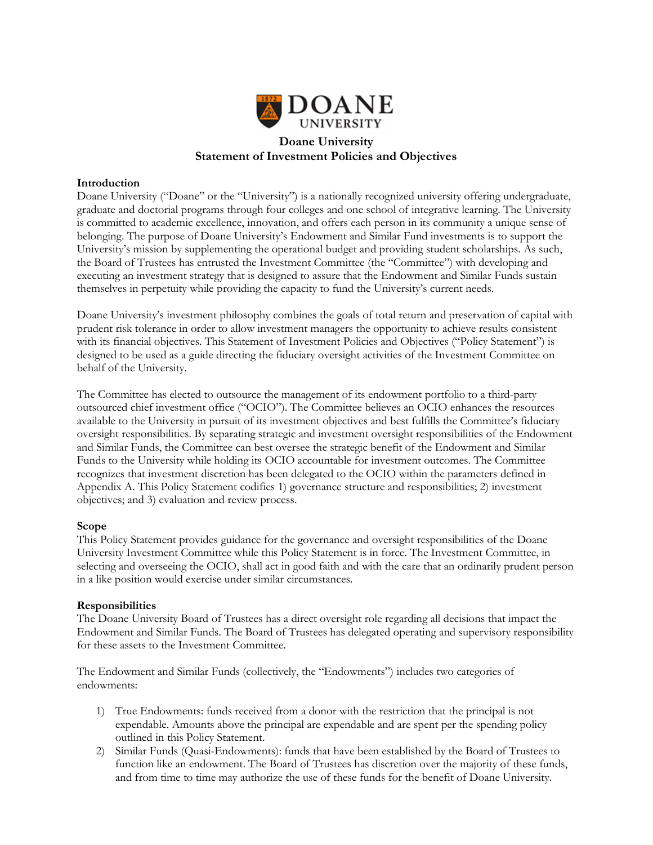

# Statement of Investment Policies and Objectives

#### Introduction

Doane University ("Doane" or the "University") is a nationally recognized university offering undergraduate, graduate and doctorial programs through four colleges and one school of integrative learning. The University is committed to academic excellence, innovation, and offers each person in its community a unique sense of belonging. The purpose of Doane University's Endowment and Similar Fund investments is to support the University's mission by supplementing the operational budget and providing student scholarships. As such, the Board of Trustees has entrusted the Investment Committee (the "Committee") with developing and executing an investment strategy that is designed to assure that the Endowment and Similar Funds sustain themselves in perpetuity while providing the capacity to fund the University's current needs.

Doane University's investment philosophy combines the goals of total return and preservation of capital with prudent risk tolerance in order to allow investment managers the opportunity to achieve results consistent with its financial objectives. This Statement of Investment Policies and Objectives ("Policy Statement") is designed to be used as a guide directing the fiduciary oversight activities of the Investment Committee on behalf of the University.

The Committee has elected to outsource the management of its endowment portfolio to a third-party outsourced chief investment office ("OCIO"). The Committee believes an OCIO enhances the resources available to the University in pursuit of its investment objectives and best fulfills the Committee's fiduciary oversight responsibilities. By separating strategic and investment oversight responsibilities of the Endowment and Similar Funds, the Committee can best oversee the strategic benefit of the Endowment and Similar Funds to the University while holding its OCIO accountable for investment outcomes. The Committee recognizes that investment discretion has been delegated to the OCIO within the parameters defined in Appendix A. This Policy Statement codifies 1) governance structure and responsibilities; 2) investment objectives; and 3) evaluation and review process.

#### Scope

This Policy Statement provides guidance for the governance and oversight responsibilities of the Doane University Investment Committee while this Policy Statement is in force. The Investment Committee, in selecting and overseeing the OCIO, shall act in good faith and with the care that an ordinarily prudent person in a like position would exercise under similar circumstances.

#### **Responsibilities**

The Doane University Board of Trustees has a direct oversight role regarding all decisions that impact the Endowment and Similar Funds. The Board of Trustees has delegated operating and supervisory responsibility for these assets to the Investment Committee.

The Endowment and Similar Funds (collectively, the "Endowments") includes two categories of endowments:

- 1) True Endowments: funds received from a donor with the restriction that the principal is not expendable. Amounts above the principal are expendable and are spent per the spending policy outlined in this Policy Statement.
- 2) Similar Funds (Quasi-Endowments): funds that have been established by the Board of Trustees to function like an endowment. The Board of Trustees has discretion over the majority of these funds, and from time to time may authorize the use of these funds for the benefit of Doane University.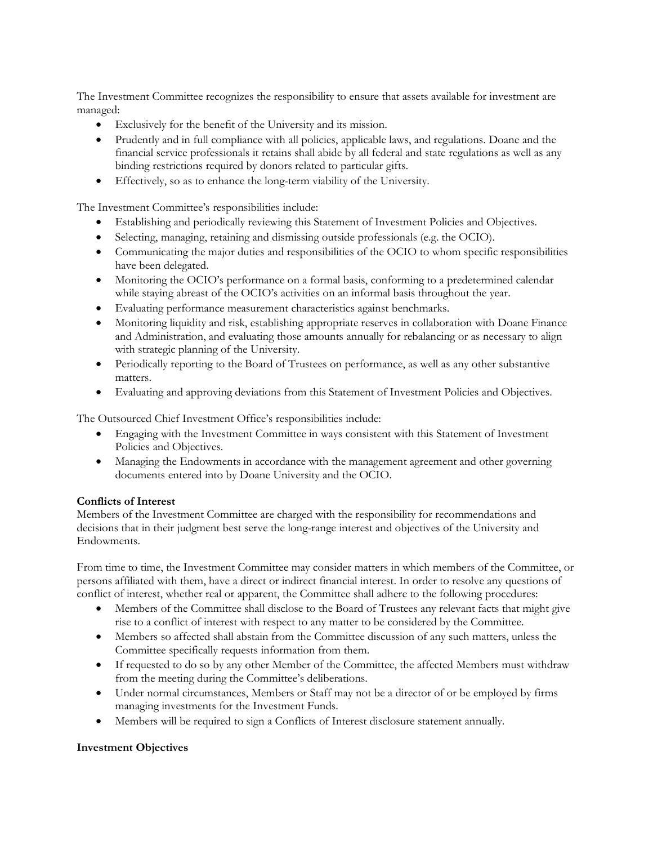The Investment Committee recognizes the responsibility to ensure that assets available for investment are managed:

- Exclusively for the benefit of the University and its mission.
- Prudently and in full compliance with all policies, applicable laws, and regulations. Doane and the financial service professionals it retains shall abide by all federal and state regulations as well as any binding restrictions required by donors related to particular gifts.
- Effectively, so as to enhance the long-term viability of the University.

The Investment Committee's responsibilities include:

- Establishing and periodically reviewing this Statement of Investment Policies and Objectives.
- Selecting, managing, retaining and dismissing outside professionals (e.g. the OCIO).
- Communicating the major duties and responsibilities of the OCIO to whom specific responsibilities have been delegated.
- Monitoring the OCIO's performance on a formal basis, conforming to a predetermined calendar while staying abreast of the OCIO's activities on an informal basis throughout the year.
- Evaluating performance measurement characteristics against benchmarks.
- Monitoring liquidity and risk, establishing appropriate reserves in collaboration with Doane Finance and Administration, and evaluating those amounts annually for rebalancing or as necessary to align with strategic planning of the University.
- Periodically reporting to the Board of Trustees on performance, as well as any other substantive matters.
- Evaluating and approving deviations from this Statement of Investment Policies and Objectives.

The Outsourced Chief Investment Office's responsibilities include:

- Engaging with the Investment Committee in ways consistent with this Statement of Investment Policies and Objectives.
- Managing the Endowments in accordance with the management agreement and other governing documents entered into by Doane University and the OCIO.

# Conflicts of Interest

Members of the Investment Committee are charged with the responsibility for recommendations and decisions that in their judgment best serve the long-range interest and objectives of the University and Endowments.

From time to time, the Investment Committee may consider matters in which members of the Committee, or persons affiliated with them, have a direct or indirect financial interest. In order to resolve any questions of conflict of interest, whether real or apparent, the Committee shall adhere to the following procedures:

- Members of the Committee shall disclose to the Board of Trustees any relevant facts that might give rise to a conflict of interest with respect to any matter to be considered by the Committee.
- Members so affected shall abstain from the Committee discussion of any such matters, unless the Committee specifically requests information from them.
- If requested to do so by any other Member of the Committee, the affected Members must withdraw from the meeting during the Committee's deliberations.
- Under normal circumstances, Members or Staff may not be a director of or be employed by firms managing investments for the Investment Funds.
- Members will be required to sign a Conflicts of Interest disclosure statement annually.

### Investment Objectives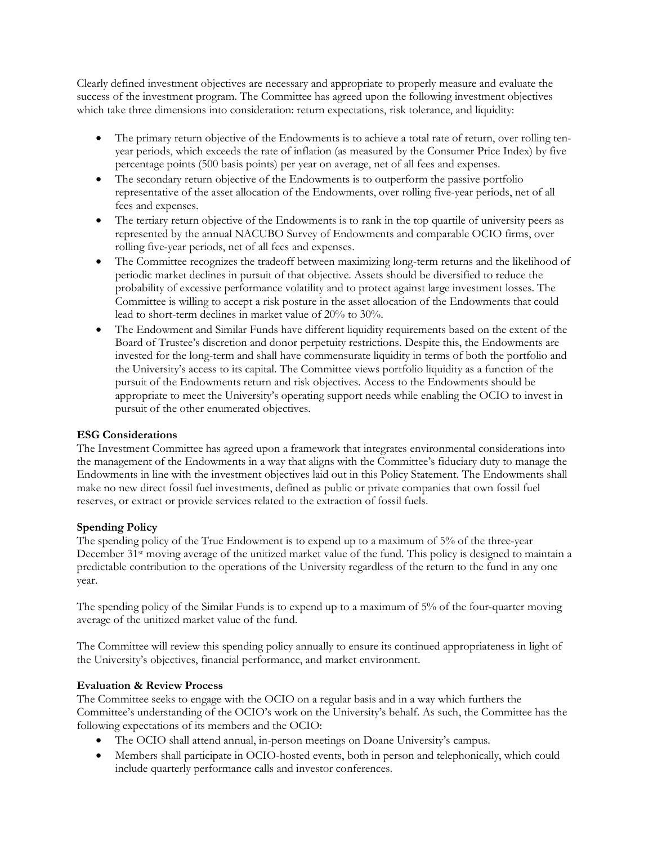Clearly defined investment objectives are necessary and appropriate to properly measure and evaluate the success of the investment program. The Committee has agreed upon the following investment objectives which take three dimensions into consideration: return expectations, risk tolerance, and liquidity:

- The primary return objective of the Endowments is to achieve a total rate of return, over rolling tenyear periods, which exceeds the rate of inflation (as measured by the Consumer Price Index) by five percentage points (500 basis points) per year on average, net of all fees and expenses.
- The secondary return objective of the Endowments is to outperform the passive portfolio representative of the asset allocation of the Endowments, over rolling five-year periods, net of all fees and expenses.
- The tertiary return objective of the Endowments is to rank in the top quartile of university peers as represented by the annual NACUBO Survey of Endowments and comparable OCIO firms, over rolling five-year periods, net of all fees and expenses.
- The Committee recognizes the tradeoff between maximizing long-term returns and the likelihood of periodic market declines in pursuit of that objective. Assets should be diversified to reduce the probability of excessive performance volatility and to protect against large investment losses. The Committee is willing to accept a risk posture in the asset allocation of the Endowments that could lead to short-term declines in market value of 20% to 30%.
- The Endowment and Similar Funds have different liquidity requirements based on the extent of the Board of Trustee's discretion and donor perpetuity restrictions. Despite this, the Endowments are invested for the long-term and shall have commensurate liquidity in terms of both the portfolio and the University's access to its capital. The Committee views portfolio liquidity as a function of the pursuit of the Endowments return and risk objectives. Access to the Endowments should be appropriate to meet the University's operating support needs while enabling the OCIO to invest in pursuit of the other enumerated objectives.

# ESG Considerations

The Investment Committee has agreed upon a framework that integrates environmental considerations into the management of the Endowments in a way that aligns with the Committee's fiduciary duty to manage the Endowments in line with the investment objectives laid out in this Policy Statement. The Endowments shall make no new direct fossil fuel investments, defined as public or private companies that own fossil fuel reserves, or extract or provide services related to the extraction of fossil fuels.

### Spending Policy

The spending policy of the True Endowment is to expend up to a maximum of 5% of the three-year December 31st moving average of the unitized market value of the fund. This policy is designed to maintain a predictable contribution to the operations of the University regardless of the return to the fund in any one year.

The spending policy of the Similar Funds is to expend up to a maximum of 5% of the four-quarter moving average of the unitized market value of the fund.

The Committee will review this spending policy annually to ensure its continued appropriateness in light of the University's objectives, financial performance, and market environment.

### Evaluation & Review Process

The Committee seeks to engage with the OCIO on a regular basis and in a way which furthers the Committee's understanding of the OCIO's work on the University's behalf. As such, the Committee has the following expectations of its members and the OCIO:

- The OCIO shall attend annual, in-person meetings on Doane University's campus.
- Members shall participate in OCIO-hosted events, both in person and telephonically, which could include quarterly performance calls and investor conferences.